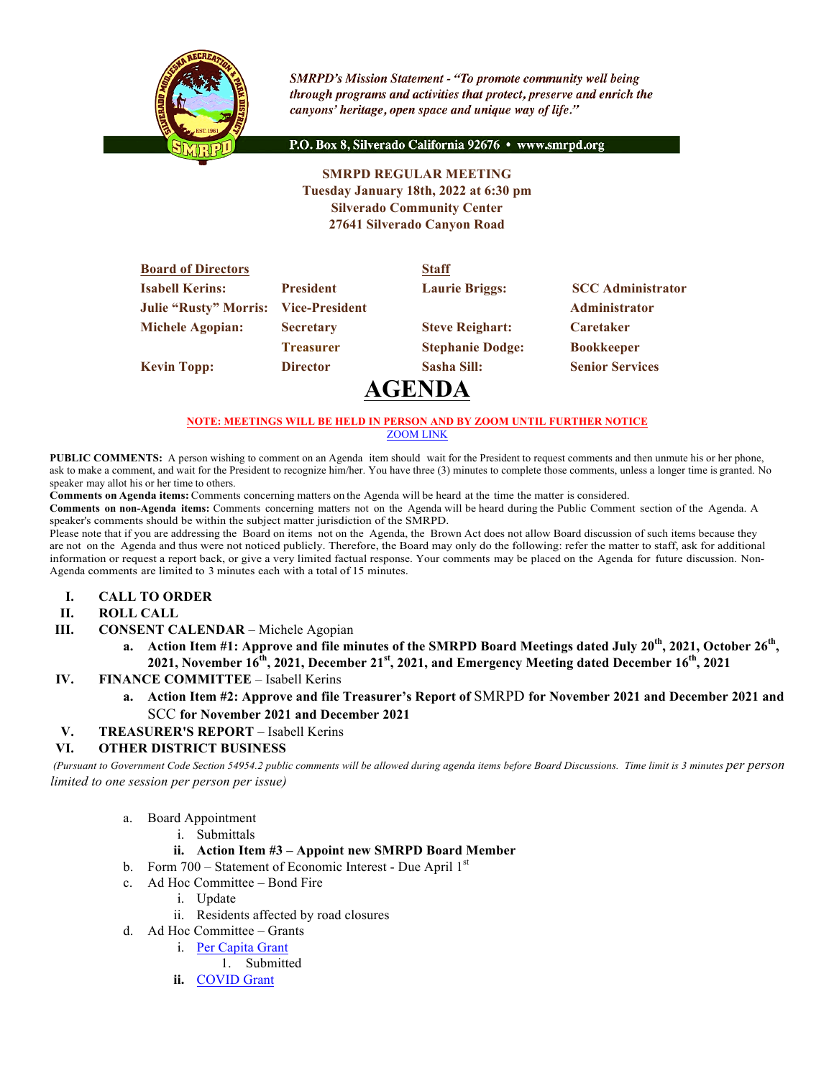

**SMRPD's Mission Statement - "To promote community well being** through programs and activities that protect, preserve and enrich the canyons' heritage, open space and unique way of life."

P.O. Box 8, Silverado California 92676 · www.smrpd.org

#### **SMRPD REGULAR MEETING Tuesday January 18th, 2022 at 6:30 pm Silverado Community Center 27641 Silverado Canyon Road**

| <b>Board of Directors</b>    |                       | <b>Staff</b>            |                          |
|------------------------------|-----------------------|-------------------------|--------------------------|
| <b>Isabell Kerins:</b>       | <b>President</b>      | <b>Laurie Briggs:</b>   | <b>SCC</b> Administrator |
| <b>Julie "Rusty" Morris:</b> | <b>Vice-President</b> |                         | Administrator            |
| <b>Michele Agopian:</b>      | <b>Secretary</b>      | <b>Steve Reighart:</b>  | <b>Caretaker</b>         |
|                              | <b>Treasurer</b>      | <b>Stephanie Dodge:</b> | <b>Bookkeeper</b>        |
| <b>Kevin Topp:</b>           | <b>Director</b>       | Sasha Sill:             | <b>Senior Services</b>   |
|                              |                       |                         |                          |

# **AGENDA**

#### **NOTE: MEETINGS WILL BE HELD IN PERSON AND BY ZOOM UNTIL FURTHER NOTICE**

ZOOM LINK

**PUBLIC COMMENTS:** A person wishing to comment on an Agenda item should wait for the President to request comments and then unmute his or her phone, ask to make a comment, and wait for the President to recognize him/her. You have three (3) minutes to complete those comments, unless a longer time is granted. No speaker may allot his or her time to others.

**Comments on Agenda items:** Comments concerning matters on the Agenda will be heard at the time the matter is considered.

**Comments on non-Agenda items:** Comments concerning matters not on the Agenda will be heard during the Public Comment section of the Agenda. A speaker's comments should be within the subject matter jurisdiction of the SMRPD.

Please note that if you are addressing the Board on items not on the Agenda, the Brown Act does not allow Board discussion of such items because they are not on the Agenda and thus were not noticed publicly. Therefore, the Board may only do the following: refer the matter to staff, ask for additional information or request a report back, or give a very limited factual response. Your comments may be placed on the Agenda for future discussion. Non-Agenda comments are limited to 3 minutes each with a total of 15 minutes.

- **I. CALL TO ORDER**
- **II. ROLL CALL**
- **III. CONSENT CALENDAR** Michele Agopian
	- **a. Action Item #1: Approve and file minutes of the SMRPD Board Meetings dated July 20th, 2021, October 26th, 2021, November 16th, 2021, December 21st, 2021, and Emergency Meeting dated December 16th, 2021**
- **IV. FINANCE COMMITTEE** Isabell Kerins
	- **a. Action Item #2: Approve and file Treasurer's Report of** SMRPD **for November 2021 and December 2021 and**  SCC **for November 2021 and December 2021**
- **V. TREASURER'S REPORT** Isabell Kerins

#### **VI. OTHER DISTRICT BUSINESS**

*(Pursuant to Government Code Section 54954.2 public comments will be allowed during agenda items before Board Discussions. Time limit is 3 minutes per person limited to one session per person per issue)*

- a. Board Appointment
	- i. Submittals

#### **ii. Action Item #3 – Appoint new SMRPD Board Member**

- b. Form  $700 -$  Statement of Economic Interest Due April  $1<sup>st</sup>$
- c. Ad Hoc Committee Bond Fire
	- i. Update
	- ii. Residents affected by road closures
- d. Ad Hoc Committee Grants
	- i. Per Capita Grant
		- 1. Submitted
	- **ii.** COVID Grant